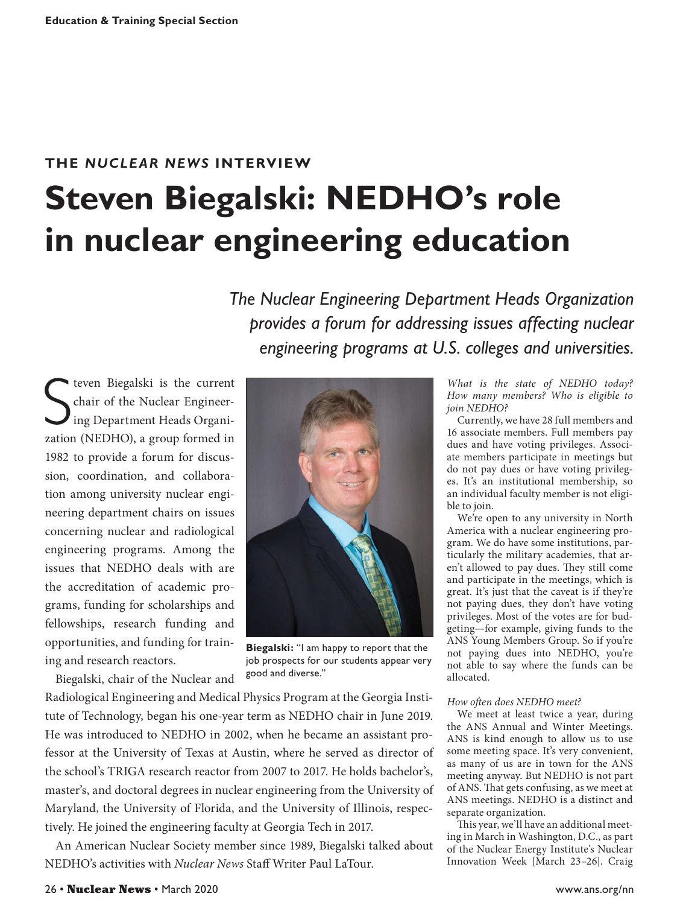# **THE** *NUCLEAR NEWS* **INTERVIEW Steven Biegalski: NEDHO's role in nuclear engineering education**

*The Nuclear Engineering Department Heads Organization provides a forum for addressing issues affecting nuclear engineering programs at U.S. colleges and universities.*

S teven Biegalski is the current chair of the Nuclear Engineering Department Heads Organization (NEDHO), a group formed in 1982 to provide a forum for discussion, coordination, and collaboration among university nuclear engineering department chairs on issues concerning nuclear and radiological engineering programs. Among the issues that NEDHO deals with are the accreditation of academic programs, funding for scholarships and fellowships, research funding and opportunities, and funding for training and research reactors.

Biegalski, chair of the Nuclear and



**Biegalski:** "I am happy to report that the job prospects for our students appear very good and diverse."

Radiological Engineering and Medical Physics Program at the Georgia Institute of Technology, began his one-year term as NEDHO chair in June 2019. He was introduced to NEDHO in 2002, when he became an assistant professor at the University of Texas at Austin, where he served as director of the school's TRIGA research reactor from 2007 to 2017. He holds bachelor's, master's, and doctoral degrees in nuclear engineering from the University of Maryland, the University of Florida, and the University of Illinois, respectively. He joined the engineering faculty at Georgia Tech in 2017.

An American Nuclear Society member since 1989, Biegalski talked about NEDHO's activities with *Nuclear News* Staff Writer Paul LaTour.

*What is the state of NEDHO today? How many members? Who is eligible to join NEDHO?*

Currently, we have 28 full members and 16 associate members. Full members pay dues and have voting privileges. Associate members participate in meetings but do not pay dues or have voting privileges. It's an institutional membership, so an individual faculty member is not eligible to join.

We're open to any university in North America with a nuclear engineering program. We do have some institutions, particularly the military academies, that aren't allowed to pay dues. They still come and participate in the meetings, which is great. It's just that the caveat is if they're not paying dues, they don't have voting privileges. Most of the votes are for budgeting—for example, giving funds to the ANS Young Members Group. So if you're not paying dues into NEDHO, you're not able to say where the funds can be allocated.

## *How often does NEDHO meet?*

We meet at least twice a year, during the ANS Annual and Winter Meetings. ANS is kind enough to allow us to use some meeting space. It's very convenient, as many of us are in town for the ANS meeting anyway. But NEDHO is not part of ANS. That gets confusing, as we meet at ANS meetings. NEDHO is a distinct and separate organization.

This year, we'll have an additional meeting in March in Washington, D.C., as part of the Nuclear Energy Institute's Nuclear Innovation Week [March 23–26]. Craig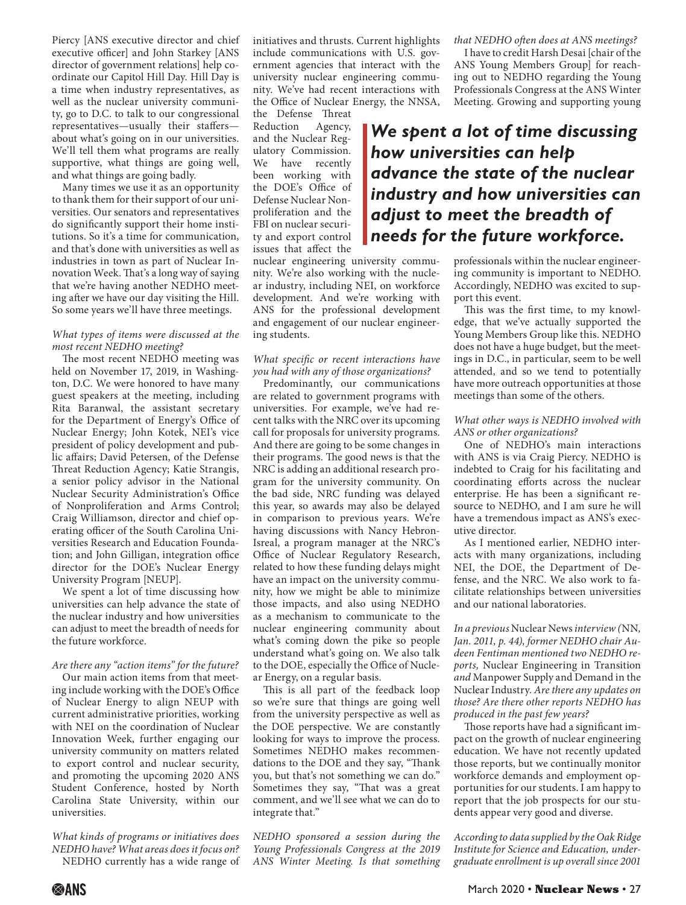Piercy [ANS executive director and chief executive officer] and John Starkey [ANS director of government relations] help coordinate our Capitol Hill Day. Hill Day is a time when industry representatives, as well as the nuclear university community, go to D.C. to talk to our congressional representatives—usually their staffers about what's going on in our universities. We'll tell them what programs are really supportive, what things are going well, and what things are going badly.

Many times we use it as an opportunity to thank them for their support of our universities. Our senators and representatives do significantly support their home institutions. So it's a time for communication, and that's done with universities as well as industries in town as part of Nuclear Innovation Week. That's a long way of saying that we're having another NEDHO meeting after we have our day visiting the Hill. So some years we'll have three meetings.

### *What types of items were discussed at the most recent NEDHO meeting?*

The most recent NEDHO meeting was held on November 17, 2019, in Washington, D.C. We were honored to have many guest speakers at the meeting, including Rita Baranwal, the assistant secretary for the Department of Energy's Office of Nuclear Energy; John Kotek, NEI's vice president of policy development and public affairs; David Petersen, of the Defense Threat Reduction Agency; Katie Strangis, a senior policy advisor in the National Nuclear Security Administration's Office of Nonproliferation and Arms Control; Craig Williamson, director and chief operating officer of the South Carolina Universities Research and Education Foundation; and John Gilligan, integration office director for the DOE's Nuclear Energy University Program [NEUP].

We spent a lot of time discussing how universities can help advance the state of the nuclear industry and how universities can adjust to meet the breadth of needs for the future workforce.

## *Are there any "action items" for the future?*

Our main action items from that meeting include working with the DOE's Office of Nuclear Energy to align NEUP with current administrative priorities, working with NEI on the coordination of Nuclear Innovation Week, further engaging our university community on matters related to export control and nuclear security, and promoting the upcoming 2020 ANS Student Conference, hosted by North Carolina State University, within our universities.

*What kinds of programs or initiatives does NEDHO have? What areas does it focus on?*  NEDHO currently has a wide range of

initiatives and thrusts. Current highlights include communications with U.S. government agencies that interact with the university nuclear engineering community. We've had recent interactions with the Office of Nuclear Energy, the NNSA,

the Defense Threat Reduction Agency, and the Nuclear Regulatory Commission. We have recently been working with the DOE's Office of Defense Nuclear Nonproliferation and the FBI on nuclear security and export control issues that affect the

nuclear engineering university community. We're also working with the nuclear industry, including NEI, on workforce development. And we're working with ANS for the professional development and engagement of our nuclear engineering students.

### *What specific or recent interactions have you had with any of those organizations?*

Predominantly, our communications are related to government programs with universities. For example, we've had recent talks with the NRC over its upcoming call for proposals for university programs. And there are going to be some changes in their programs. The good news is that the NRC is adding an additional research program for the university community. On the bad side, NRC funding was delayed this year, so awards may also be delayed in comparison to previous years. We're having discussions with Nancy Hebron-Isreal, a program manager at the NRC's Office of Nuclear Regulatory Research, related to how these funding delays might have an impact on the university community, how we might be able to minimize those impacts, and also using NEDHO as a mechanism to communicate to the nuclear engineering community about what's coming down the pike so people understand what's going on. We also talk to the DOE, especially the Office of Nuclear Energy, on a regular basis.

This is all part of the feedback loop so we're sure that things are going well from the university perspective as well as the DOE perspective. We are constantly looking for ways to improve the process. Sometimes NEDHO makes recommendations to the DOE and they say, "Thank you, but that's not something we can do." Sometimes they say, "That was a great comment, and we'll see what we can do to integrate that."

*NEDHO sponsored a session during the Young Professionals Congress at the 2019 ANS Winter Meeting. Is that something*  *that NEDHO often does at ANS meetings?*

I have to credit Harsh Desai [chair of the ANS Young Members Group] for reaching out to NEDHO regarding the Young Professionals Congress at the ANS Winter Meeting. Growing and supporting young

# *We spent a lot of time discussing how universities can help advance the state of the nuclear industry and how universities can adjust to meet the breadth of needs for the future workforce.*

professionals within the nuclear engineering community is important to NEDHO. Accordingly, NEDHO was excited to support this event.

This was the first time, to my knowledge, that we've actually supported the Young Members Group like this. NEDHO does not have a huge budget, but the meetings in D.C., in particular, seem to be well attended, and so we tend to potentially have more outreach opportunities at those meetings than some of the others.

### *What other ways is NEDHO involved with ANS or other organizations?*

One of NEDHO's main interactions with ANS is via Craig Piercy. NEDHO is indebted to Craig for his facilitating and coordinating efforts across the nuclear enterprise. He has been a significant resource to NEDHO, and I am sure he will have a tremendous impact as ANS's executive director.

As I mentioned earlier, NEDHO interacts with many organizations, including NEI, the DOE, the Department of Defense, and the NRC. We also work to facilitate relationships between universities and our national laboratories.

*In a previous* Nuclear News *interview (*NN*, Jan. 2011, p. 44), former NEDHO chair Audeen Fentiman mentioned two NEDHO reports,* Nuclear Engineering in Transition *and* Manpower Supply and Demand in the Nuclear Industry*. Are there any updates on those? Are there other reports NEDHO has produced in the past few years?* 

Those reports have had a significant impact on the growth of nuclear engineering education. We have not recently updated those reports, but we continually monitor workforce demands and employment opportunities for our students. I am happy to report that the job prospects for our students appear very good and diverse.

*According to data supplied by the Oak Ridge Institute for Science and Education, undergraduate enrollment is up overall since 2001*